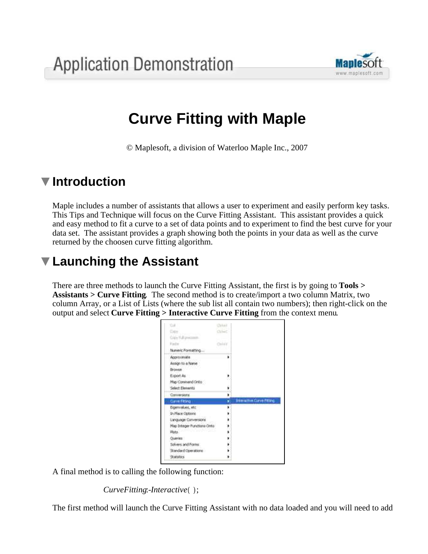

# **Curve Fitting with Maple**

© Maplesoft, a division of Waterloo Maple Inc., 2007

### **Introduction**

Maple includes a number of assistants that allows a user to experiment and easily perform key tasks. This Tips and Technique will focus on the Curve Fitting Assistant. This assistant provides a quick and easy method to fit a curve to a set of data points and to experiment to find the best curve for your data set. The assistant provides a graph showing both the points in your data as well as the curve returned by the choosen curve fitting algorithm.

## **Launching the Assistant**

There are three methods to launch the Curve Fitting Assistant, the first is by going to **Tools > Assistants > Curve Fitting**. The second method is to create/import a two column Matrix, two column Array, or a List of Lists (where the sub list all contain two numbers); then right-click on the output and select **Curve Fitting > Interactive Curve Fitting** from the context menu.

| Ġй                          | $3 + 1 = 1$ |                                   |
|-----------------------------|-------------|-----------------------------------|
|                             | Olivier     |                                   |
| Lips Yul practice           |             |                                   |
| <b>Packet</b>               | Chicago     |                                   |
| Numeric Pormatting          |             |                                   |
| Accrossmate                 |             |                                   |
| Assign to a Name            |             |                                   |
| <b>Browce</b>               |             |                                   |
| Eigert As                   |             |                                   |
| Map Command Onto            |             |                                   |
| Select Elements             |             |                                   |
| Conversions:                |             |                                   |
| Current Filting             |             | <b>Interactive Curve Fitting.</b> |
| Eigenvalues, etc.           |             |                                   |
| In Place Options            |             |                                   |
| Language Conversions        |             |                                   |
| Hap Integer Fundtions Onto: |             |                                   |
| Plots.                      |             |                                   |
| Outries:                    |             |                                   |
| Solvers and Fores:          |             |                                   |
| Standard Operations         |             |                                   |
| <b>Stabilizio</b>           |             |                                   |

A final method is to calling the following function:

*CurveFitting:-Interactive*();

The first method will launch the Curve Fitting Assistant with no data loaded and you will need to add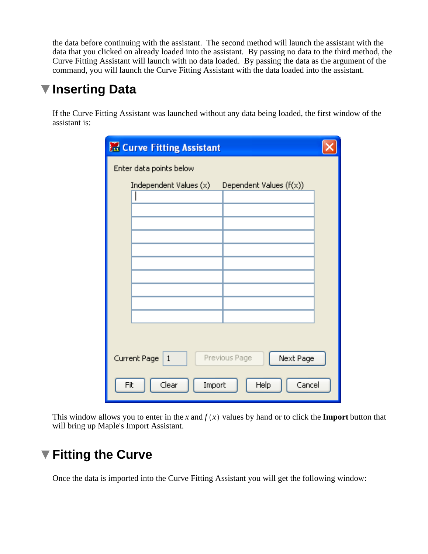the data before continuing with the assistant. The second method will launch the assistant with the data that you clicked on already loaded into the assistant. By passing no data to the third method, the Curve Fitting Assistant will launch with no data loaded. By passing the data as the argument of the command, you will launch the Curve Fitting Assistant with the data loaded into the assistant.

#### **Inserting Data**

If the Curve Fitting Assistant was launched without any data being loaded, the first window of the assistant is:

| <b>R. Curve Fitting Assistant</b>                          |  |
|------------------------------------------------------------|--|
| Enter data points below                                    |  |
| Independent Values (x)<br>Dependent Values (f(x))          |  |
|                                                            |  |
|                                                            |  |
|                                                            |  |
|                                                            |  |
|                                                            |  |
|                                                            |  |
|                                                            |  |
|                                                            |  |
| Next Page<br>Previous Page<br>Current Page<br>$\mathbf{1}$ |  |
| Clear<br>Cancel<br>Import<br>Help<br>Fit                   |  |

This window allows you to enter in the *x* and  $f(x)$  values by hand or to click the **Import** button that will bring up Maple's Import Assistant.

#### **Fitting the Curve**

Once the data is imported into the Curve Fitting Assistant you will get the following window: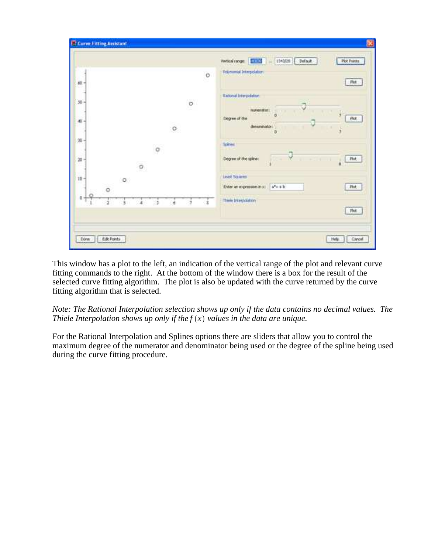| : Pkt.                    |
|---------------------------|
|                           |
|                           |
| $\mathbb{R}$<br>u<br>Pkt. |
| ý                         |
|                           |
| <b>Plut</b>               |
|                           |
| <b>Flot</b>               |
| Plot                      |
|                           |

This window has a plot to the left, an indication of the vertical range of the plot and relevant curve fitting commands to the right. At the bottom of the window there is a box for the result of the selected curve fitting algorithm. The plot is also be updated with the curve returned by the curve fitting algorithm that is selected.

*Note: The Rational Interpolation selection shows up only if the data contains no decimal values. The Thiele Interpolation shows up only if the*  $f(x)$  *values in the data are unique.* 

For the Rational Interpolation and Splines options there are sliders that allow you to control the maximum degree of the numerator and denominator being used or the degree of the spline being used during the curve fitting procedure.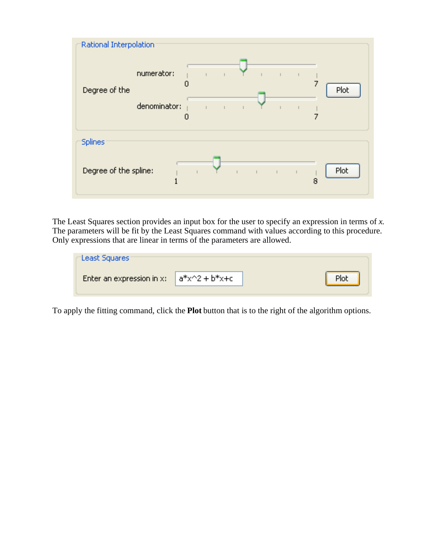

The Least Squares section provides an input box for the user to specify an expression in terms of *x*. The parameters will be fit by the Least Squares command with values according to this procedure. Only expressions that are linear in terms of the parameters are allowed.

| "Least Squares"                             |      |
|---------------------------------------------|------|
| Enter an expression in x: $a*x^2 + b*x + c$ | Plot |

To apply the fitting command, click the **Plot** button that is to the right of the algorithm options.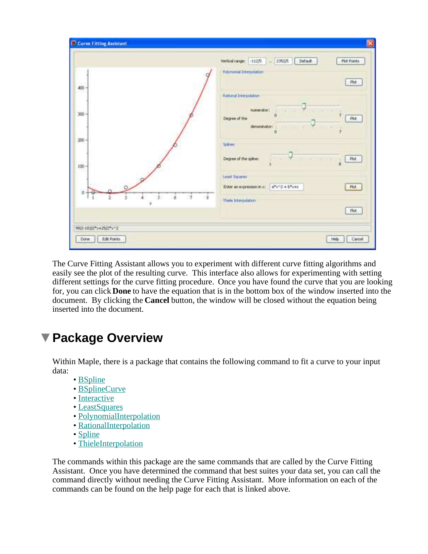|                      | Vertical range: - 112/5 = 2352/5<br>Plot Points<br>Default<br>Poycumul Interpolation                                                                                   |
|----------------------|------------------------------------------------------------------------------------------------------------------------------------------------------------------------|
| 400                  | Pet.                                                                                                                                                                   |
| $300 -$              | <b>Rational Interpolation</b><br><b>NAME OF STREET</b><br>$\mathcal{L}$<br>×<br>Degree of the $\overline{\phantom{a}}$<br>Plot.<br>denomination:<br>٠<br>ÿ<br><b>D</b> |
| $300 -$              | Solive<br>ana<br>$\sim$ Y<br>Degree of the spine:<br>31 87 8 11<br><b>Plot</b>                                                                                         |
| $100 -$              | Least Squires                                                                                                                                                          |
| ä.<br>-58<br>Ĩ.<br>× | Enter an expression in xi after 2 + b*x+c<br><b>Flot</b><br>$\mathbb{Z}$<br>$\mathcal{L}$                                                                              |
|                      | Think Interpolation<br>Phot.                                                                                                                                           |

The Curve Fitting Assistant allows you to experiment with different curve fitting algorithms and easily see the plot of the resulting curve. This interface also allows for experimenting with setting different settings for the curve fitting procedure. Once you have found the curve that you are looking for, you can click **Done** to have the equation that is in the bottom box of the window inserted into the document. By clicking the **Cancel** button, the window will be closed without the equation being inserted into the document.

#### **Package Overview**

Within Maple, there is a package that contains the following command to fit a curve to your input data:

- BSpline
- BSplineCurve
- Interactive
- LeastSquares
- PolynomialInterpolation
- RationalInterpolation
- Spline
- ThieleInterpolation

The commands within this package are the same commands that are called by the Curve Fitting Assistant. Once you have determined the command that best suites your data set, you can call the command directly without needing the Curve Fitting Assistant. More information on each of the commands can be found on the help page for each that is linked above.